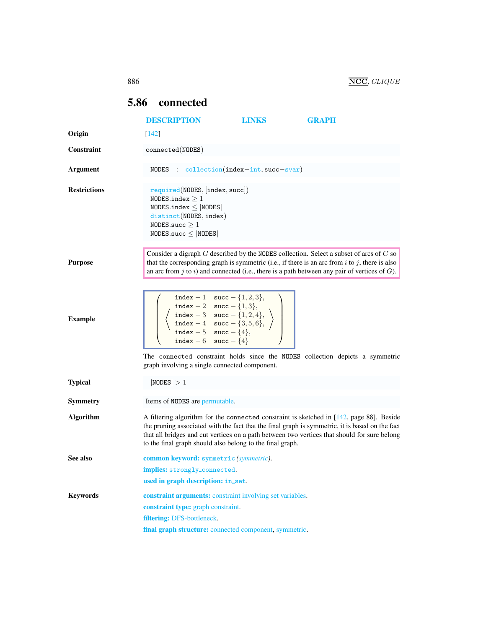## <span id="page-0-0"></span>5.86 connected

<span id="page-0-1"></span>

|                     | <b>DESCRIPTION</b>                                                                                                                                                                                                                                                                                                                                                   | <b>LINKS</b> | <b>GRAPH</b> |  |
|---------------------|----------------------------------------------------------------------------------------------------------------------------------------------------------------------------------------------------------------------------------------------------------------------------------------------------------------------------------------------------------------------|--------------|--------------|--|
| Origin              | $[142]$                                                                                                                                                                                                                                                                                                                                                              |              |              |  |
| <b>Constraint</b>   | $connected(\texttt{NODES})$                                                                                                                                                                                                                                                                                                                                          |              |              |  |
| Argument            | NODES : $\text{collection}(\text{index}-\text{int}, \text{succ}-\text{svar})$                                                                                                                                                                                                                                                                                        |              |              |  |
| <b>Restrictions</b> | required(NDDES, [index, succ])<br>NODES.index $>1$<br>NODES.index $\leq$ NODES<br>distinct(NODES, index)<br>NODES.succ $\geq 1$<br>$NODES.size \leq  NODES $                                                                                                                                                                                                         |              |              |  |
| <b>Purpose</b>      | Consider a digraph $G$ described by the NODES collection. Select a subset of arcs of $G$ so<br>that the corresponding graph is symmetric (i.e., if there is an arc from $i$ to $j$ , there is also<br>an arc from $j$ to $i$ ) and connected (i.e., there is a path between any pair of vertices of $G$ ).                                                           |              |              |  |
| <b>Example</b>      | $index - 1 succ - {1, 2, 3},$<br>index - 2 succ - {1, 3},<br>index - 3 succ - {1, 2, 4},<br>index - 4 succ - {3, 5, 6},<br>index - 5 succ - {4},<br>index - 6 succ - $\{4\}$                                                                                                                                                                                         |              |              |  |
|                     | The connected constraint holds since the NODES collection depicts a symmetric<br>graph involving a single connected component.                                                                                                                                                                                                                                       |              |              |  |
| <b>Typical</b>      | NODES  > 1                                                                                                                                                                                                                                                                                                                                                           |              |              |  |
| <b>Symmetry</b>     | Items of NODES are permutable.                                                                                                                                                                                                                                                                                                                                       |              |              |  |
| <b>Algorithm</b>    | A filtering algorithm for the connected constraint is sketched in $[142, \text{ page } 88]$ . Beside<br>the pruning associated with the fact that the final graph is symmetric, it is based on the fact<br>that all bridges and cut vertices on a path between two vertices that should for sure belong<br>to the final graph should also belong to the final graph. |              |              |  |
| See also            | common keyword: symmetric (symmetric).                                                                                                                                                                                                                                                                                                                               |              |              |  |
|                     | implies: strongly_connected.<br>used in graph description: in_set.                                                                                                                                                                                                                                                                                                   |              |              |  |
| <b>Keywords</b>     | <b>constraint arguments:</b> constraint involving set variables.                                                                                                                                                                                                                                                                                                     |              |              |  |
|                     | constraint type: graph constraint.                                                                                                                                                                                                                                                                                                                                   |              |              |  |
|                     | filtering: DFS-bottleneck.                                                                                                                                                                                                                                                                                                                                           |              |              |  |
|                     | final graph structure: connected component, symmetric.                                                                                                                                                                                                                                                                                                               |              |              |  |